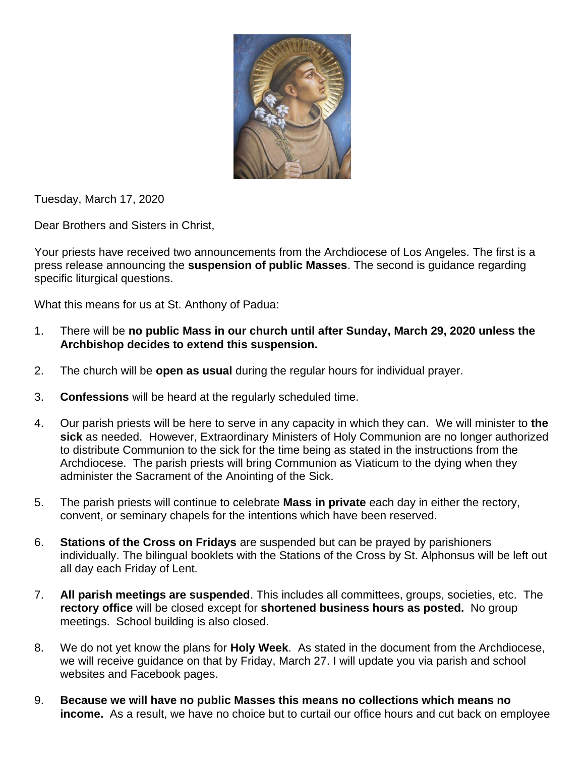

Tuesday, March 17, 2020

Dear Brothers and Sisters in Christ,

Your priests have received two announcements from the Archdiocese of Los Angeles. The first is a press release announcing the **suspension of public Masses**. The second is guidance regarding specific liturgical questions.

What this means for us at St. Anthony of Padua:

- 1. There will be **no public Mass in our church until after Sunday, March 29, 2020 unless the Archbishop decides to extend this suspension.**
- 2. The church will be **open as usual** during the regular hours for individual prayer.
- 3. **Confessions** will be heard at the regularly scheduled time.
- 4. Our parish priests will be here to serve in any capacity in which they can. We will minister to **the sick** as needed. However, Extraordinary Ministers of Holy Communion are no longer authorized to distribute Communion to the sick for the time being as stated in the instructions from the Archdiocese. The parish priests will bring Communion as Viaticum to the dying when they administer the Sacrament of the Anointing of the Sick.
- 5. The parish priests will continue to celebrate **Mass in private** each day in either the rectory, convent, or seminary chapels for the intentions which have been reserved.
- 6. **Stations of the Cross on Fridays** are suspended but can be prayed by parishioners individually. The bilingual booklets with the Stations of the Cross by St. Alphonsus will be left out all day each Friday of Lent.
- 7. **All parish meetings are suspended**. This includes all committees, groups, societies, etc. The **rectory office** will be closed except for **shortened business hours as posted.** No group meetings. School building is also closed.
- 8. We do not yet know the plans for **Holy Week**. As stated in the document from the Archdiocese, we will receive guidance on that by Friday, March 27. I will update you via parish and school websites and Facebook pages.
- 9. **Because we will have no public Masses this means no collections which means no income.** As a result, we have no choice but to curtail our office hours and cut back on employee